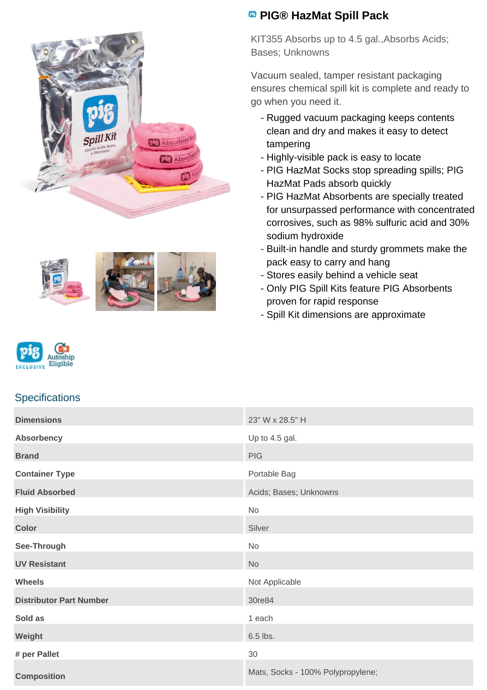



## **PIG® HazMat Spill Pack**

KIT355 Absorbs up to 4.5 gal.,Absorbs Acids; Bases; Unknowns

Vacuum sealed, tamper resistant packaging ensures chemical spill kit is complete and ready to go when you need it.

- Rugged vacuum packaging keeps contents clean and dry and makes it easy to detect tampering
- Highly-visible pack is easy to locate
- PIG HazMat Socks stop spreading spills; PIG HazMat Pads absorb quickly
- PIG HazMat Absorbents are specially treated for unsurpassed performance with concentrated corrosives, such as 98% sulfuric acid and 30% sodium hydroxide
- Built-in handle and sturdy grommets make the pack easy to carry and hang
- Stores easily behind a vehicle seat
- Only PIG Spill Kits feature PIG Absorbents proven for rapid response
- Spill Kit dimensions are approximate



## **Specifications**

| <b>Dimensions</b>              | 23" W x 28.5" H                   |
|--------------------------------|-----------------------------------|
| <b>Absorbency</b>              | Up to 4.5 gal.                    |
| <b>Brand</b>                   | <b>PIG</b>                        |
| <b>Container Type</b>          | Portable Bag                      |
| <b>Fluid Absorbed</b>          | Acids; Bases; Unknowns            |
| <b>High Visibility</b>         | No                                |
| <b>Color</b>                   | Silver                            |
| See-Through                    | No                                |
| <b>UV Resistant</b>            | <b>No</b>                         |
| <b>Wheels</b>                  | Not Applicable                    |
| <b>Distributor Part Number</b> | 30re84                            |
| Sold as                        | 1 each                            |
| Weight                         | 6.5 lbs.                          |
| # per Pallet                   | 30                                |
| <b>Composition</b>             | Mats, Socks - 100% Polypropylene; |